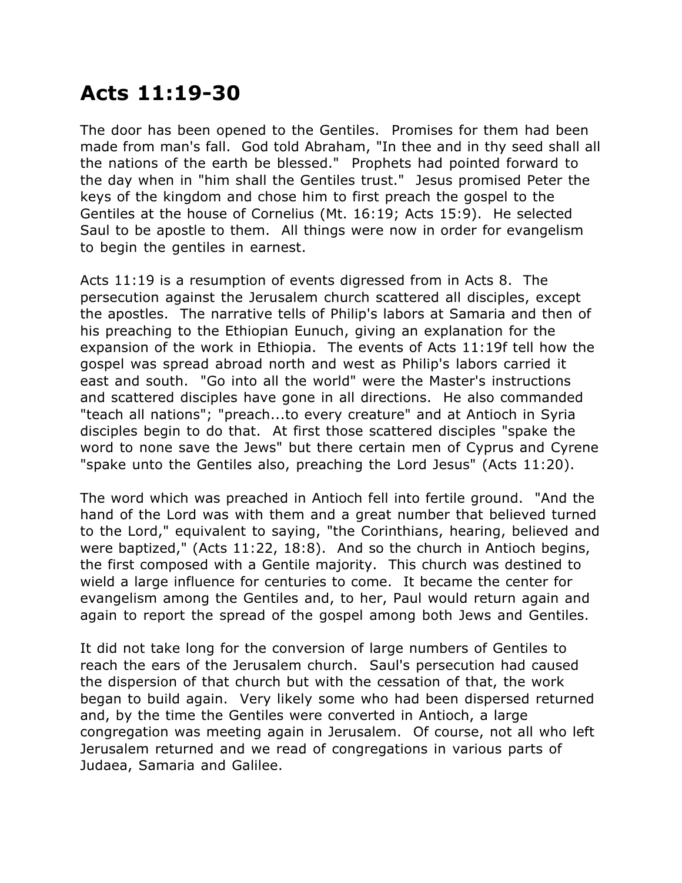## **Acts 11:19-30**

The door has been opened to the Gentiles. Promises for them had been made from man's fall. God told Abraham, "In thee and in thy seed shall all the nations of the earth be blessed." Prophets had pointed forward to the day when in "him shall the Gentiles trust." Jesus promised Peter the keys of the kingdom and chose him to first preach the gospel to the Gentiles at the house of Cornelius (Mt. 16:19; Acts 15:9). He selected Saul to be apostle to them. All things were now in order for evangelism to begin the gentiles in earnest.

Acts 11:19 is a resumption of events digressed from in Acts 8. The persecution against the Jerusalem church scattered all disciples, except the apostles. The narrative tells of Philip's labors at Samaria and then of his preaching to the Ethiopian Eunuch, giving an explanation for the expansion of the work in Ethiopia. The events of Acts 11:19f tell how the gospel was spread abroad north and west as Philip's labors carried it east and south. "Go into all the world" were the Master's instructions and scattered disciples have gone in all directions. He also commanded "teach all nations"; "preach...to every creature" and at Antioch in Syria disciples begin to do that. At first those scattered disciples "spake the word to none save the Jews" but there certain men of Cyprus and Cyrene "spake unto the Gentiles also, preaching the Lord Jesus" (Acts 11:20).

The word which was preached in Antioch fell into fertile ground. "And the hand of the Lord was with them and a great number that believed turned to the Lord," equivalent to saying, "the Corinthians, hearing, believed and were baptized," (Acts 11:22, 18:8). And so the church in Antioch begins, the first composed with a Gentile majority. This church was destined to wield a large influence for centuries to come. It became the center for evangelism among the Gentiles and, to her, Paul would return again and again to report the spread of the gospel among both Jews and Gentiles.

It did not take long for the conversion of large numbers of Gentiles to reach the ears of the Jerusalem church. Saul's persecution had caused the dispersion of that church but with the cessation of that, the work began to build again. Very likely some who had been dispersed returned and, by the time the Gentiles were converted in Antioch, a large congregation was meeting again in Jerusalem. Of course, not all who left Jerusalem returned and we read of congregations in various parts of Judaea, Samaria and Galilee.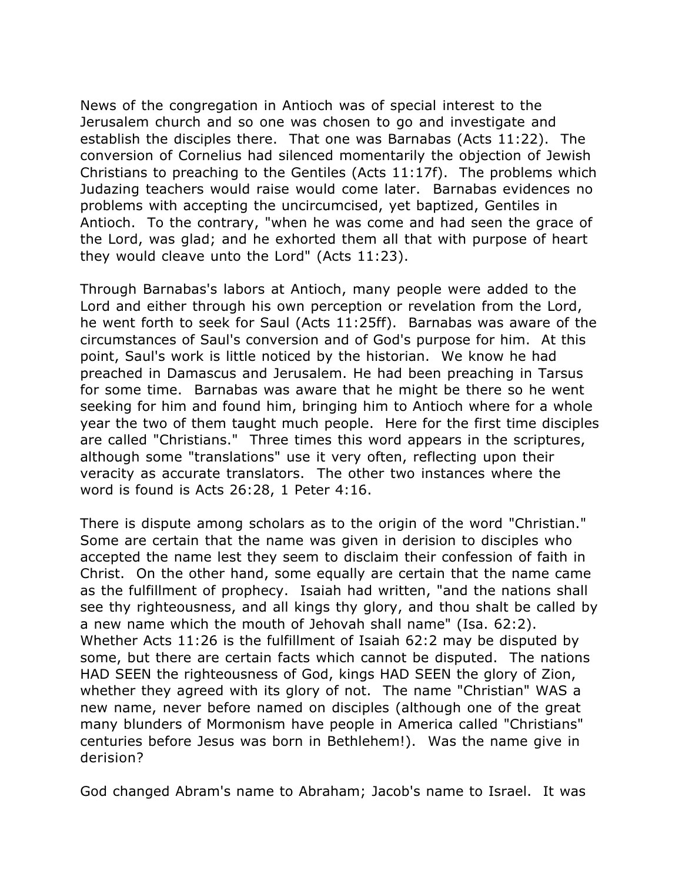News of the congregation in Antioch was of special interest to the Jerusalem church and so one was chosen to go and investigate and establish the disciples there. That one was Barnabas (Acts 11:22). The conversion of Cornelius had silenced momentarily the objection of Jewish Christians to preaching to the Gentiles (Acts 11:17f). The problems which Judazing teachers would raise would come later. Barnabas evidences no problems with accepting the uncircumcised, yet baptized, Gentiles in Antioch. To the contrary, "when he was come and had seen the grace of the Lord, was glad; and he exhorted them all that with purpose of heart they would cleave unto the Lord" (Acts 11:23).

Through Barnabas's labors at Antioch, many people were added to the Lord and either through his own perception or revelation from the Lord, he went forth to seek for Saul (Acts 11:25ff). Barnabas was aware of the circumstances of Saul's conversion and of God's purpose for him. At this point, Saul's work is little noticed by the historian. We know he had preached in Damascus and Jerusalem. He had been preaching in Tarsus for some time. Barnabas was aware that he might be there so he went seeking for him and found him, bringing him to Antioch where for a whole year the two of them taught much people. Here for the first time disciples are called "Christians." Three times this word appears in the scriptures, although some "translations" use it very often, reflecting upon their veracity as accurate translators. The other two instances where the word is found is Acts 26:28, 1 Peter 4:16.

There is dispute among scholars as to the origin of the word "Christian." Some are certain that the name was given in derision to disciples who accepted the name lest they seem to disclaim their confession of faith in Christ. On the other hand, some equally are certain that the name came as the fulfillment of prophecy. Isaiah had written, "and the nations shall see thy righteousness, and all kings thy glory, and thou shalt be called by a new name which the mouth of Jehovah shall name" (Isa. 62:2). Whether Acts 11:26 is the fulfillment of Isaiah 62:2 may be disputed by some, but there are certain facts which cannot be disputed. The nations HAD SEEN the righteousness of God, kings HAD SEEN the glory of Zion, whether they agreed with its glory of not. The name "Christian" WAS a new name, never before named on disciples (although one of the great many blunders of Mormonism have people in America called "Christians" centuries before Jesus was born in Bethlehem!). Was the name give in derision?

God changed Abram's name to Abraham; Jacob's name to Israel. It was